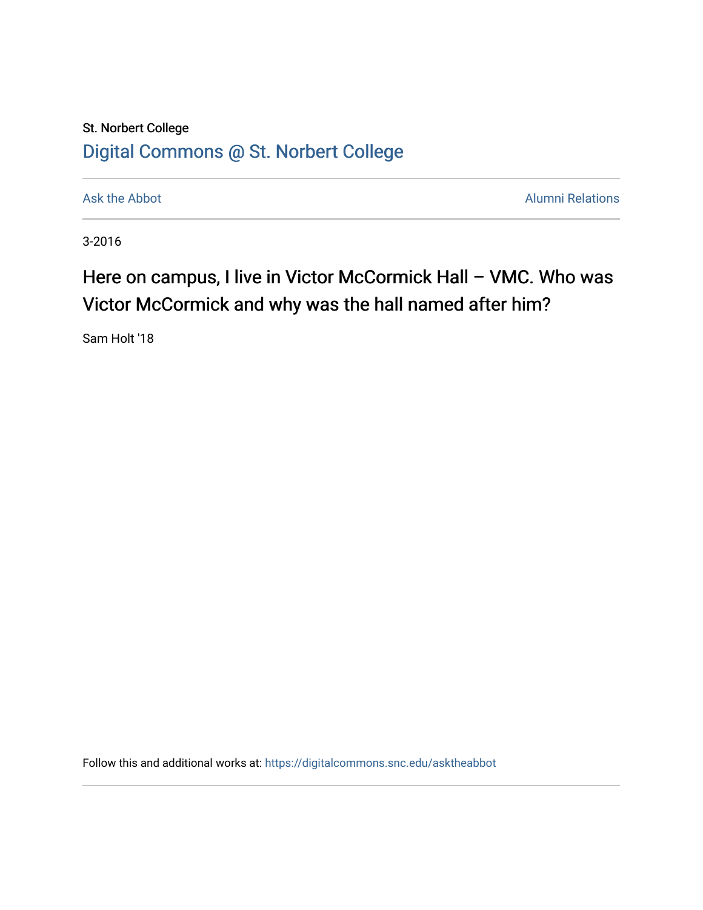## St. Norbert College [Digital Commons @ St. Norbert College](https://digitalcommons.snc.edu/)

[Ask the Abbot](https://digitalcommons.snc.edu/asktheabbot) **Alumni Relations** Ask the Abbot **Alumni Relations** 

3-2016

## Here on campus, I live in Victor McCormick Hall - VMC. Who was Victor McCormick and why was the hall named after him?

Sam Holt '18

Follow this and additional works at: [https://digitalcommons.snc.edu/asktheabbot](https://digitalcommons.snc.edu/asktheabbot?utm_source=digitalcommons.snc.edu%2Fasktheabbot%2F152&utm_medium=PDF&utm_campaign=PDFCoverPages)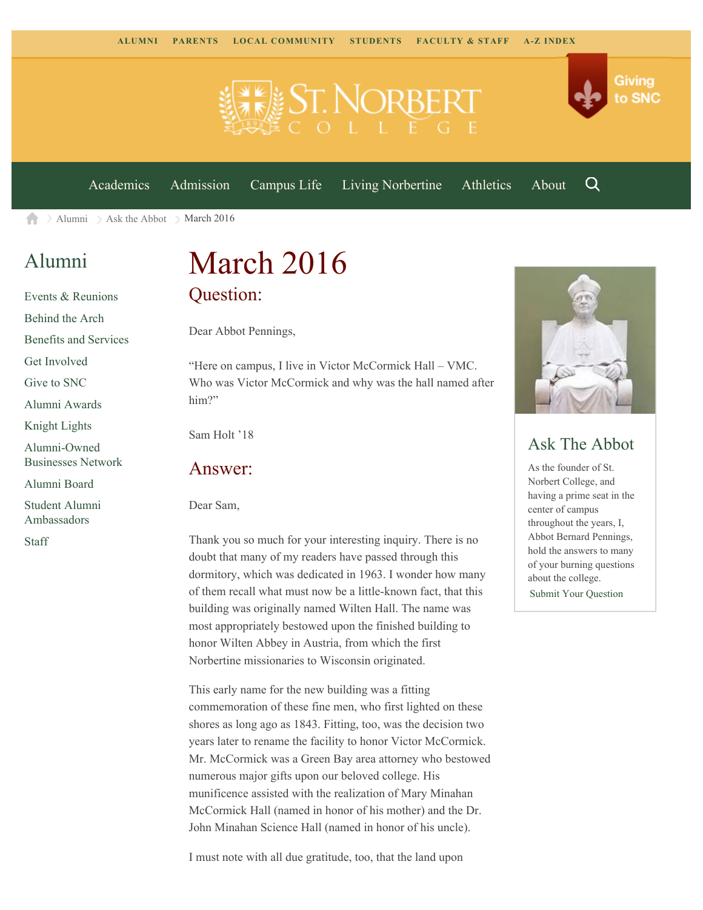

[Academics](https://www.snc.edu/academics) [Admission](https://www.snc.edu/admission) [Campus Life](https://www.snc.edu/campuslife) [Living Norbertine](https://www.snc.edu/livingnorbertine) [Athletics](https://www.snc.edu/athletics) [About](https://www.snc.edu/about)

Q

Giving

to SNC

[Alumni](https://www.snc.edu/alumni/)  $\geq$  [Ask the Abbot](https://www.snc.edu/alumni/abbot/)  $\geq$  March 2016 A

### [Alumni](https://www.snc.edu/alumni/index.html)

[Events & Reunions](https://www.snc.edu/alumni/event/index.html) [Behind the Arch](https://www.snc.edu/alumni/event/behindthearch/) [Benefits and Services](https://www.snc.edu/alumni/benefits.html) [Get Involved](https://www.snc.edu/alumni/getinvolved.html) [Give to SNC](http://giving.snc.edu/) [Alumni Awards](https://www.snc.edu/alumni/awards/index.html) [Knight Lights](https://www.snc.edu/alumni/knightlights/index.html) [Alumni-Owned](https://www.snc.edu/alumni/directory/index.html) [Businesses Network](https://www.snc.edu/alumni/directory/index.html) [Alumni Board](https://www.snc.edu/alumni/alumniboard.html) [Student Alumni](https://www.snc.edu/alumni/saa.html) [Ambassadors](https://www.snc.edu/alumni/saa.html)

[Staff](https://www.snc.edu/alumni/contactus.html)

# March 2016 Question:

Dear Abbot Pennings,

"Here on campus, I live in Victor McCormick Hall – VMC. Who was Victor McCormick and why was the hall named after him?"

Sam Holt '18

#### Answer:

Dear Sam,

Thank you so much for your interesting inquiry. There is no doubt that many of my readers have passed through this dormitory, which was dedicated in 1963. I wonder how many of them recall what must now be a little-known fact, that this building was originally named Wilten Hall. The name was most appropriately bestowed upon the finished building to honor Wilten Abbey in Austria, from which the first Norbertine missionaries to Wisconsin originated.

This early name for the new building was a fitting commemoration of these fine men, who first lighted on these shores as long ago as 1843. Fitting, too, was the decision two years later to rename the facility to honor Victor McCormick. Mr. McCormick was a Green Bay area attorney who bestowed numerous major gifts upon our beloved college. His munificence assisted with the realization of Mary Minahan McCormick Hall (named in honor of his mother) and the Dr. John Minahan Science Hall (named in honor of his uncle).

I must note with all due gratitude, too, that the land upon



#### Ask The Abbot

As the founder of St. Norbert College, and having a prime seat in the center of campus throughout the years, I, Abbot Bernard Pennings, hold the answers to many of your burning questions about the college. [Submit Your Question](https://www.snc.edu/alumni/abbot/index.html)